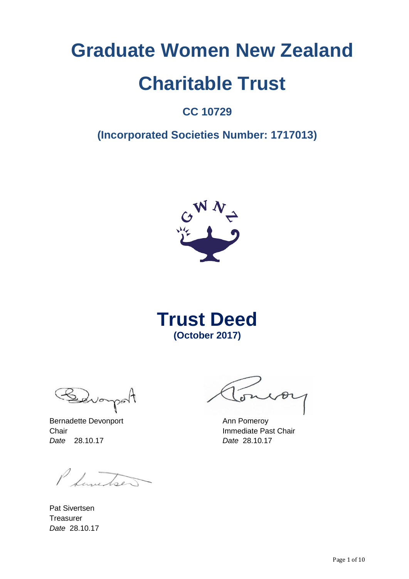# **Graduate Women New Zealand Charitable Trust**

# **CC 10729**

# **(Incorporated Societies Number: 1717013)**



**Trust Deed (October 2017)**

Sevoi noon

Bernadette Devonport **Ann Pomeroy Chair Chair Immediate Past Chair** *Date* 28.10.17 *Date* 28.10.17

P Sunitse

Pat Sivertsen **Treasurer** *Date* 28.10.17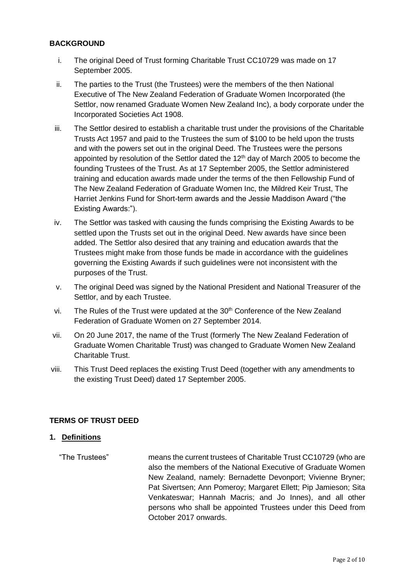#### **BACKGROUND**

- i. The original Deed of Trust forming Charitable Trust CC10729 was made on 17 September 2005.
- ii. The parties to the Trust (the Trustees) were the members of the then National Executive of The New Zealand Federation of Graduate Women Incorporated (the Settlor, now renamed Graduate Women New Zealand Inc), a body corporate under the Incorporated Societies Act 1908.
- iii. The Settlor desired to establish a charitable trust under the provisions of the Charitable Trusts Act 1957 and paid to the Trustees the sum of \$100 to be held upon the trusts and with the powers set out in the original Deed. The Trustees were the persons appointed by resolution of the Settlor dated the  $12<sup>th</sup>$  day of March 2005 to become the founding Trustees of the Trust. As at 17 September 2005, the Settlor administered training and education awards made under the terms of the then Fellowship Fund of The New Zealand Federation of Graduate Women Inc, the Mildred Keir Trust, The Harriet Jenkins Fund for Short-term awards and the Jessie Maddison Award ("the Existing Awards:").
- iv. The Settlor was tasked with causing the funds comprising the Existing Awards to be settled upon the Trusts set out in the original Deed. New awards have since been added. The Settlor also desired that any training and education awards that the Trustees might make from those funds be made in accordance with the guidelines governing the Existing Awards if such guidelines were not inconsistent with the purposes of the Trust.
- v. The original Deed was signed by the National President and National Treasurer of the Settlor, and by each Trustee.
- vi. The Rules of the Trust were updated at the 30<sup>th</sup> Conference of the New Zealand Federation of Graduate Women on 27 September 2014.
- vii. On 20 June 2017, the name of the Trust (formerly The New Zealand Federation of Graduate Women Charitable Trust) was changed to Graduate Women New Zealand Charitable Trust.
- viii. This Trust Deed replaces the existing Trust Deed (together with any amendments to the existing Trust Deed) dated 17 September 2005.

# **TERMS OF TRUST DEED**

#### **1. Definitions**

"The Trustees" means the current trustees of Charitable Trust CC10729 (who are also the members of the National Executive of Graduate Women New Zealand, namely: Bernadette Devonport; Vivienne Bryner; Pat Sivertsen; Ann Pomeroy; Margaret Ellett; Pip Jamieson; Sita Venkateswar; Hannah Macris; and Jo Innes), and all other persons who shall be appointed Trustees under this Deed from October 2017 onwards.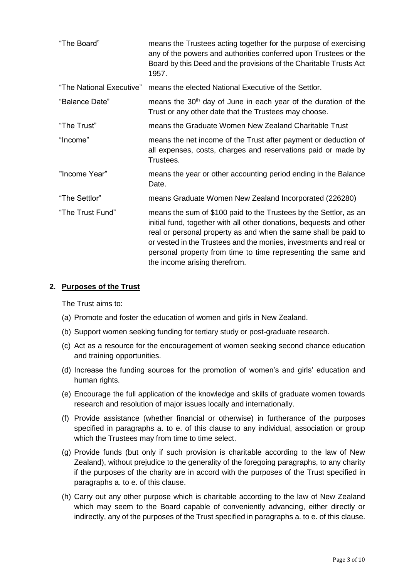| "The Board"              | means the Trustees acting together for the purpose of exercising<br>any of the powers and authorities conferred upon Trustees or the<br>Board by this Deed and the provisions of the Charitable Trusts Act<br>1957.                                                                                                                                                                |
|--------------------------|------------------------------------------------------------------------------------------------------------------------------------------------------------------------------------------------------------------------------------------------------------------------------------------------------------------------------------------------------------------------------------|
| "The National Executive" | means the elected National Executive of the Settlor.                                                                                                                                                                                                                                                                                                                               |
| "Balance Date"           | means the 30 <sup>th</sup> day of June in each year of the duration of the<br>Trust or any other date that the Trustees may choose.                                                                                                                                                                                                                                                |
| "The Trust"              | means the Graduate Women New Zealand Charitable Trust                                                                                                                                                                                                                                                                                                                              |
| "Income"                 | means the net income of the Trust after payment or deduction of<br>all expenses, costs, charges and reservations paid or made by<br>Trustees.                                                                                                                                                                                                                                      |
| "Income Year"            | means the year or other accounting period ending in the Balance<br>Date.                                                                                                                                                                                                                                                                                                           |
| "The Settlor"            | means Graduate Women New Zealand Incorporated (226280)                                                                                                                                                                                                                                                                                                                             |
| "The Trust Fund"         | means the sum of \$100 paid to the Trustees by the Settlor, as an<br>initial fund, together with all other donations, bequests and other<br>real or personal property as and when the same shall be paid to<br>or vested in the Trustees and the monies, investments and real or<br>personal property from time to time representing the same and<br>the income arising therefrom. |

#### **2. Purposes of the Trust**

The Trust aims to:

- (a) Promote and foster the education of women and girls in New Zealand.
- (b) Support women seeking funding for tertiary study or post-graduate research.
- (c) Act as a resource for the encouragement of women seeking second chance education and training opportunities.
- (d) Increase the funding sources for the promotion of women's and girls' education and human rights.
- (e) Encourage the full application of the knowledge and skills of graduate women towards research and resolution of major issues locally and internationally.
- (f) Provide assistance (whether financial or otherwise) in furtherance of the purposes specified in paragraphs a. to e. of this clause to any individual, association or group which the Trustees may from time to time select.
- (g) Provide funds (but only if such provision is charitable according to the law of New Zealand), without prejudice to the generality of the foregoing paragraphs, to any charity if the purposes of the charity are in accord with the purposes of the Trust specified in paragraphs a. to e. of this clause.
- (h) Carry out any other purpose which is charitable according to the law of New Zealand which may seem to the Board capable of conveniently advancing, either directly or indirectly, any of the purposes of the Trust specified in paragraphs a. to e. of this clause.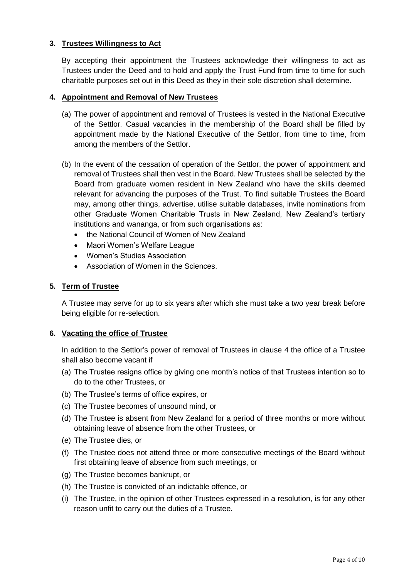# **3. Trustees Willingness to Act**

By accepting their appointment the Trustees acknowledge their willingness to act as Trustees under the Deed and to hold and apply the Trust Fund from time to time for such charitable purposes set out in this Deed as they in their sole discretion shall determine.

#### **4. Appointment and Removal of New Trustees**

- (a) The power of appointment and removal of Trustees is vested in the National Executive of the Settlor. Casual vacancies in the membership of the Board shall be filled by appointment made by the National Executive of the Settlor, from time to time, from among the members of the Settlor.
- (b) In the event of the cessation of operation of the Settlor, the power of appointment and removal of Trustees shall then vest in the Board. New Trustees shall be selected by the Board from graduate women resident in New Zealand who have the skills deemed relevant for advancing the purposes of the Trust. To find suitable Trustees the Board may, among other things, advertise, utilise suitable databases, invite nominations from other Graduate Women Charitable Trusts in New Zealand, New Zealand's tertiary institutions and wananga, or from such organisations as:
	- the National Council of Women of New Zealand
	- Maori Women's Welfare League
	- Women's Studies Association
	- Association of Women in the Sciences.

#### **5. Term of Trustee**

A Trustee may serve for up to six years after which she must take a two year break before being eligible for re-selection.

#### **6. Vacating the office of Trustee**

In addition to the Settlor's power of removal of Trustees in clause 4 the office of a Trustee shall also become vacant if

- (a) The Trustee resigns office by giving one month's notice of that Trustees intention so to do to the other Trustees, or
- (b) The Trustee's terms of office expires, or
- (c) The Trustee becomes of unsound mind, or
- (d) The Trustee is absent from New Zealand for a period of three months or more without obtaining leave of absence from the other Trustees, or
- (e) The Trustee dies, or
- (f) The Trustee does not attend three or more consecutive meetings of the Board without first obtaining leave of absence from such meetings, or
- (g) The Trustee becomes bankrupt, or
- (h) The Trustee is convicted of an indictable offence, or
- (i) The Trustee, in the opinion of other Trustees expressed in a resolution, is for any other reason unfit to carry out the duties of a Trustee.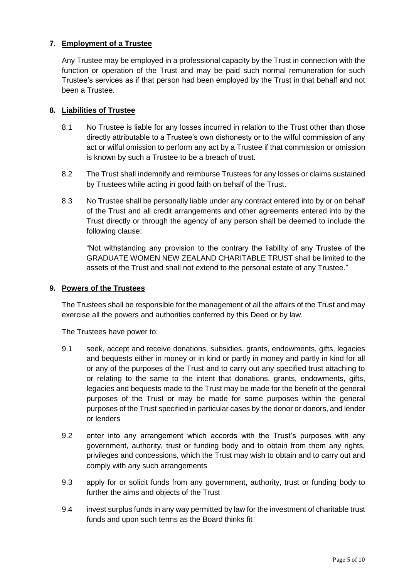# **7. Employment of a Trustee**

Any Trustee may be employed in a professional capacity by the Trust in connection with the function or operation of the Trust and may be paid such normal remuneration for such Trustee's services as if that person had been employed by the Trust in that behalf and not been a Trustee.

#### **8. Liabilities of Trustee**

- 8.1 No Trustee is liable for any losses incurred in relation to the Trust other than those directly attributable to a Trustee's own dishonesty or to the wilful commission of any act or wilful omission to perform any act by a Trustee if that commission or omission is known by such a Trustee to be a breach of trust.
- 8.2 The Trust shall indemnify and reimburse Trustees for any losses or claims sustained by Trustees while acting in good faith on behalf of the Trust.
- 8.3 No Trustee shall be personally liable under any contract entered into by or on behalf of the Trust and all credit arrangements and other agreements entered into by the Trust directly or through the agency of any person shall be deemed to include the following clause:

"Not withstanding any provision to the contrary the liability of any Trustee of the GRADUATE WOMEN NEW ZEALAND CHARITABLE TRUST shall be limited to the assets of the Trust and shall not extend to the personal estate of any Trustee."

#### **9. Powers of the Trustees**

The Trustees shall be responsible for the management of all the affairs of the Trust and may exercise all the powers and authorities conferred by this Deed or by law.

The Trustees have power to:

- 9.1 seek, accept and receive donations, subsidies, grants, endowments, gifts, legacies and bequests either in money or in kind or partly in money and partly in kind for all or any of the purposes of the Trust and to carry out any specified trust attaching to or relating to the same to the intent that donations, grants, endowments, gifts, legacies and bequests made to the Trust may be made for the benefit of the general purposes of the Trust or may be made for some purposes within the general purposes of the Trust specified in particular cases by the donor or donors, and lender or lenders
- 9.2 enter into any arrangement which accords with the Trust's purposes with any government, authority, trust or funding body and to obtain from them any rights, privileges and concessions, which the Trust may wish to obtain and to carry out and comply with any such arrangements
- 9.3 apply for or solicit funds from any government, authority, trust or funding body to further the aims and objects of the Trust
- 9.4 invest surplus funds in any way permitted by law for the investment of charitable trust funds and upon such terms as the Board thinks fit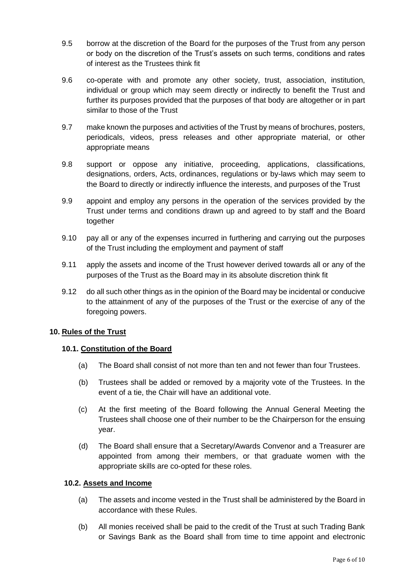- 9.5 borrow at the discretion of the Board for the purposes of the Trust from any person or body on the discretion of the Trust's assets on such terms, conditions and rates of interest as the Trustees think fit
- 9.6 co-operate with and promote any other society, trust, association, institution, individual or group which may seem directly or indirectly to benefit the Trust and further its purposes provided that the purposes of that body are altogether or in part similar to those of the Trust
- 9.7 make known the purposes and activities of the Trust by means of brochures, posters, periodicals, videos, press releases and other appropriate material, or other appropriate means
- 9.8 support or oppose any initiative, proceeding, applications, classifications, designations, orders, Acts, ordinances, regulations or by-laws which may seem to the Board to directly or indirectly influence the interests, and purposes of the Trust
- 9.9 appoint and employ any persons in the operation of the services provided by the Trust under terms and conditions drawn up and agreed to by staff and the Board together
- 9.10 pay all or any of the expenses incurred in furthering and carrying out the purposes of the Trust including the employment and payment of staff
- 9.11 apply the assets and income of the Trust however derived towards all or any of the purposes of the Trust as the Board may in its absolute discretion think fit
- 9.12 do all such other things as in the opinion of the Board may be incidental or conducive to the attainment of any of the purposes of the Trust or the exercise of any of the foregoing powers.

#### **10. Rules of the Trust**

#### **10.1. Constitution of the Board**

- (a) The Board shall consist of not more than ten and not fewer than four Trustees.
- (b) Trustees shall be added or removed by a majority vote of the Trustees. In the event of a tie, the Chair will have an additional vote.
- (c) At the first meeting of the Board following the Annual General Meeting the Trustees shall choose one of their number to be the Chairperson for the ensuing year.
- (d) The Board shall ensure that a Secretary/Awards Convenor and a Treasurer are appointed from among their members, or that graduate women with the appropriate skills are co-opted for these roles.

#### **10.2. Assets and Income**

- (a) The assets and income vested in the Trust shall be administered by the Board in accordance with these Rules.
- (b) All monies received shall be paid to the credit of the Trust at such Trading Bank or Savings Bank as the Board shall from time to time appoint and electronic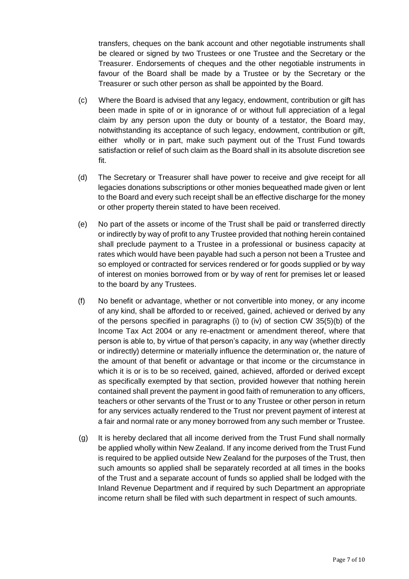transfers, cheques on the bank account and other negotiable instruments shall be cleared or signed by two Trustees or one Trustee and the Secretary or the Treasurer. Endorsements of cheques and the other negotiable instruments in favour of the Board shall be made by a Trustee or by the Secretary or the Treasurer or such other person as shall be appointed by the Board.

- (c) Where the Board is advised that any legacy, endowment, contribution or gift has been made in spite of or in ignorance of or without full appreciation of a legal claim by any person upon the duty or bounty of a testator, the Board may, notwithstanding its acceptance of such legacy, endowment, contribution or gift, either wholly or in part, make such payment out of the Trust Fund towards satisfaction or relief of such claim as the Board shall in its absolute discretion see fit.
- (d) The Secretary or Treasurer shall have power to receive and give receipt for all legacies donations subscriptions or other monies bequeathed made given or lent to the Board and every such receipt shall be an effective discharge for the money or other property therein stated to have been received.
- (e) No part of the assets or income of the Trust shall be paid or transferred directly or indirectly by way of profit to any Trustee provided that nothing herein contained shall preclude payment to a Trustee in a professional or business capacity at rates which would have been payable had such a person not been a Trustee and so employed or contracted for services rendered or for goods supplied or by way of interest on monies borrowed from or by way of rent for premises let or leased to the board by any Trustees.
- (f) No benefit or advantage, whether or not convertible into money, or any income of any kind, shall be afforded to or received, gained, achieved or derived by any of the persons specified in paragraphs (i) to (iv) of section CW 35(5)(b) of the Income Tax Act 2004 or any re-enactment or amendment thereof, where that person is able to, by virtue of that person's capacity, in any way (whether directly or indirectly) determine or materially influence the determination or, the nature of the amount of that benefit or advantage or that income or the circumstance in which it is or is to be so received, gained, achieved, afforded or derived except as specifically exempted by that section, provided however that nothing herein contained shall prevent the payment in good faith of remuneration to any officers, teachers or other servants of the Trust or to any Trustee or other person in return for any services actually rendered to the Trust nor prevent payment of interest at a fair and normal rate or any money borrowed from any such member or Trustee.
- (g) It is hereby declared that all income derived from the Trust Fund shall normally be applied wholly within New Zealand. If any income derived from the Trust Fund is required to be applied outside New Zealand for the purposes of the Trust, then such amounts so applied shall be separately recorded at all times in the books of the Trust and a separate account of funds so applied shall be lodged with the Inland Revenue Department and if required by such Department an appropriate income return shall be filed with such department in respect of such amounts.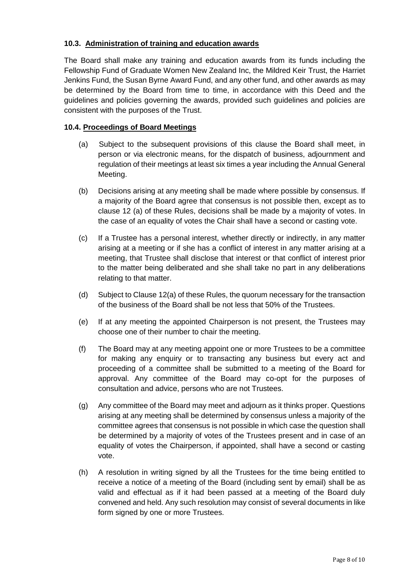# **10.3. Administration of training and education awards**

The Board shall make any training and education awards from its funds including the Fellowship Fund of Graduate Women New Zealand Inc, the Mildred Keir Trust, the Harriet Jenkins Fund, the Susan Byrne Award Fund, and any other fund, and other awards as may be determined by the Board from time to time, in accordance with this Deed and the guidelines and policies governing the awards, provided such guidelines and policies are consistent with the purposes of the Trust.

# **10.4. Proceedings of Board Meetings**

- (a) Subject to the subsequent provisions of this clause the Board shall meet, in person or via electronic means, for the dispatch of business, adjournment and regulation of their meetings at least six times a year including the Annual General Meeting.
- (b) Decisions arising at any meeting shall be made where possible by consensus. If a majority of the Board agree that consensus is not possible then, except as to clause 12 (a) of these Rules, decisions shall be made by a majority of votes. In the case of an equality of votes the Chair shall have a second or casting vote.
- (c) If a Trustee has a personal interest, whether directly or indirectly, in any matter arising at a meeting or if she has a conflict of interest in any matter arising at a meeting, that Trustee shall disclose that interest or that conflict of interest prior to the matter being deliberated and she shall take no part in any deliberations relating to that matter.
- (d) Subject to Clause 12(a) of these Rules, the quorum necessary for the transaction of the business of the Board shall be not less that 50% of the Trustees.
- (e) If at any meeting the appointed Chairperson is not present, the Trustees may choose one of their number to chair the meeting.
- (f) The Board may at any meeting appoint one or more Trustees to be a committee for making any enquiry or to transacting any business but every act and proceeding of a committee shall be submitted to a meeting of the Board for approval. Any committee of the Board may co-opt for the purposes of consultation and advice, persons who are not Trustees.
- (g) Any committee of the Board may meet and adjourn as it thinks proper. Questions arising at any meeting shall be determined by consensus unless a majority of the committee agrees that consensus is not possible in which case the question shall be determined by a majority of votes of the Trustees present and in case of an equality of votes the Chairperson, if appointed, shall have a second or casting vote.
- (h) A resolution in writing signed by all the Trustees for the time being entitled to receive a notice of a meeting of the Board (including sent by email) shall be as valid and effectual as if it had been passed at a meeting of the Board duly convened and held. Any such resolution may consist of several documents in like form signed by one or more Trustees.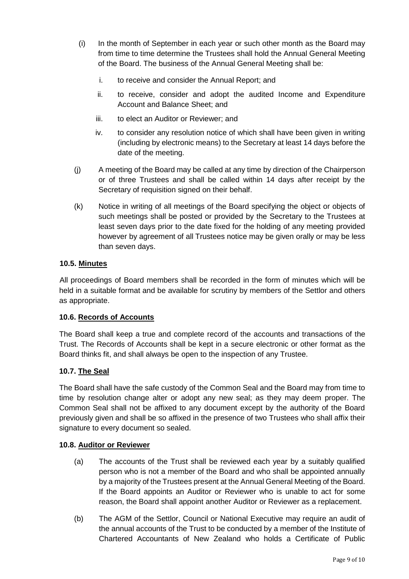- (i) In the month of September in each year or such other month as the Board may from time to time determine the Trustees shall hold the Annual General Meeting of the Board. The business of the Annual General Meeting shall be:
	- i. to receive and consider the Annual Report; and
	- ii. to receive, consider and adopt the audited Income and Expenditure Account and Balance Sheet; and
	- iii. to elect an Auditor or Reviewer; and
	- iv. to consider any resolution notice of which shall have been given in writing (including by electronic means) to the Secretary at least 14 days before the date of the meeting.
- (j) A meeting of the Board may be called at any time by direction of the Chairperson or of three Trustees and shall be called within 14 days after receipt by the Secretary of requisition signed on their behalf.
- (k) Notice in writing of all meetings of the Board specifying the object or objects of such meetings shall be posted or provided by the Secretary to the Trustees at least seven days prior to the date fixed for the holding of any meeting provided however by agreement of all Trustees notice may be given orally or may be less than seven days.

# **10.5. Minutes**

All proceedings of Board members shall be recorded in the form of minutes which will be held in a suitable format and be available for scrutiny by members of the Settlor and others as appropriate.

#### **10.6. Records of Accounts**

The Board shall keep a true and complete record of the accounts and transactions of the Trust. The Records of Accounts shall be kept in a secure electronic or other format as the Board thinks fit, and shall always be open to the inspection of any Trustee.

#### **10.7. The Seal**

The Board shall have the safe custody of the Common Seal and the Board may from time to time by resolution change alter or adopt any new seal; as they may deem proper. The Common Seal shall not be affixed to any document except by the authority of the Board previously given and shall be so affixed in the presence of two Trustees who shall affix their signature to every document so sealed.

#### **10.8. Auditor or Reviewer**

- (a) The accounts of the Trust shall be reviewed each year by a suitably qualified person who is not a member of the Board and who shall be appointed annually by a majority of the Trustees present at the Annual General Meeting of the Board. If the Board appoints an Auditor or Reviewer who is unable to act for some reason, the Board shall appoint another Auditor or Reviewer as a replacement.
- (b) The AGM of the Settlor, Council or National Executive may require an audit of the annual accounts of the Trust to be conducted by a member of the Institute of Chartered Accountants of New Zealand who holds a Certificate of Public